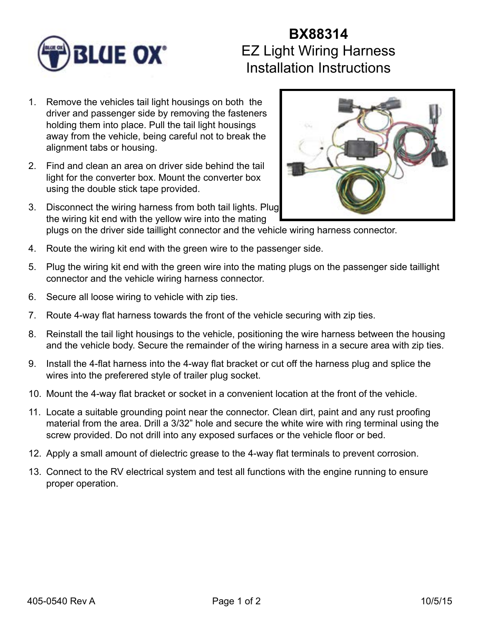

## **BX88314** EZ Light Wiring Harness Installation Instructions

- 1. Remove the vehicles tail light housings on both the driver and passenger side by removing the fasteners holding them into place. Pull the tail light housings away from the vehicle, being careful not to break the alignment tabs or housing.
- 2. Find and clean an area on driver side behind the tail light for the converter box. Mount the converter box using the double stick tape provided.
- 3. Disconnect the wiring harness from both tail lights. Plug the wiring kit end with the yellow wire into the mating plugs on the driver side taillight connector and the vehicle wiring harness connector.
- 4. Route the wiring kit end with the green wire to the passenger side.
- 5. Plug the wiring kit end with the green wire into the mating plugs on the passenger side taillight connector and the vehicle wiring harness connector.
- 6. Secure all loose wiring to vehicle with zip ties.
- 7. Route 4-way flat harness towards the front of the vehicle securing with zip ties.
- 8. Reinstall the tail light housings to the vehicle, positioning the wire harness between the housing and the vehicle body. Secure the remainder of the wiring harness in a secure area with zip ties.
- 9. Install the 4-flat harness into the 4-way flat bracket or cut off the harness plug and splice the wires into the preferered style of trailer plug socket.
- 10. Mount the 4-way flat bracket or socket in a convenient location at the front of the vehicle.
- 11. Locate a suitable grounding point near the connector. Clean dirt, paint and any rust proofing material from the area. Drill a 3/32" hole and secure the white wire with ring terminal using the screw provided. Do not drill into any exposed surfaces or the vehicle floor or bed.
- 12. Apply a small amount of dielectric grease to the 4-way flat terminals to prevent corrosion.
- 13. Connect to the RV electrical system and test all functions with the engine running to ensure proper operation.